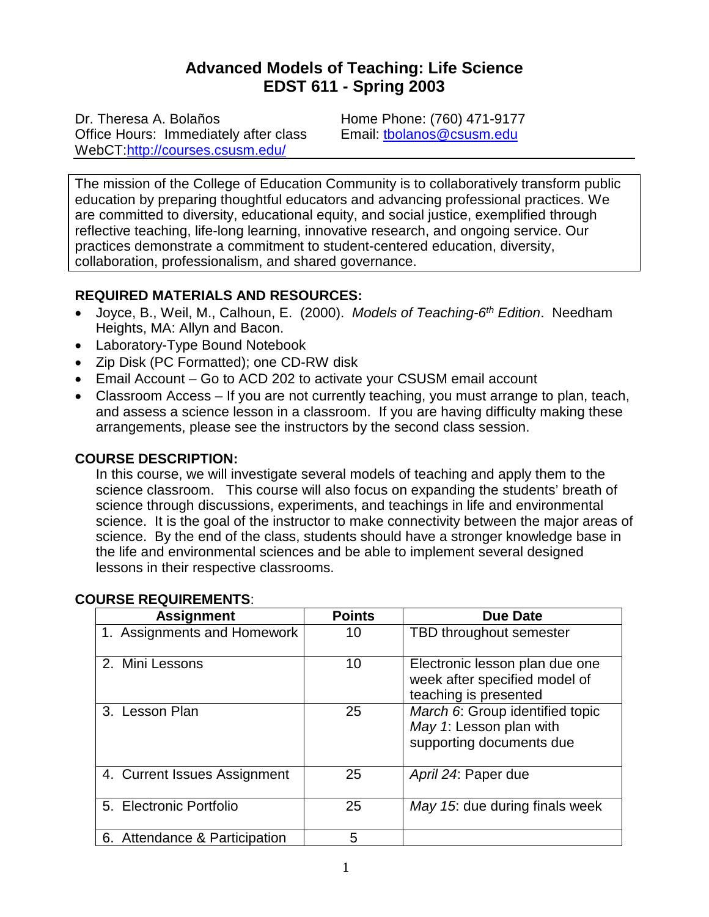# **Advanced Models of Teaching: Life Science EDST 611 - Spring 2003**

Dr. Theresa A. Bolaños<br>Office Hours: Immediately after class Email: tbolanos@csusm.edu Office Hours: Immediately after class WebCT[:http://courses.csusm.edu/](http://courses.csusm.edu/)

The mission of the College of Education Community is to collaboratively transform public education by preparing thoughtful educators and advancing professional practices. We are committed to diversity, educational equity, and social justice, exemplified through reflective teaching, life-long learning, innovative research, and ongoing service. Our practices demonstrate a commitment to student-centered education, diversity, collaboration, professionalism, and shared governance.

# **REQUIRED MATERIALS AND RESOURCES:**

- Joyce, B., Weil, M., Calhoun, E. (2000). *Models of Teaching-6th Edition*. Needham Heights, MA: Allyn and Bacon.
- Laboratory-Type Bound Notebook
- Zip Disk (PC Formatted); one CD-RW disk
- Email Account Go to ACD 202 to activate your CSUSM email account
- Classroom Access If you are not currently teaching, you must arrange to plan, teach, and assess a science lesson in a classroom. If you are having difficulty making these arrangements, please see the instructors by the second class session.

## **COURSE DESCRIPTION:**

In this course, we will investigate several models of teaching and apply them to the science classroom. This course will also focus on expanding the students' breath of science through discussions, experiments, and teachings in life and environmental science. It is the goal of the instructor to make connectivity between the major areas of science. By the end of the class, students should have a stronger knowledge base in the life and environmental sciences and be able to implement several designed lessons in their respective classrooms.

| <b>Assignment</b>             | <b>Points</b> | <b>Due Date</b>                                                                          |
|-------------------------------|---------------|------------------------------------------------------------------------------------------|
| 1. Assignments and Homework   | 10            | TBD throughout semester                                                                  |
| 2. Mini Lessons               | 10            | Electronic lesson plan due one<br>week after specified model of<br>teaching is presented |
| 3. Lesson Plan                | 25            | March 6: Group identified topic<br>May 1: Lesson plan with<br>supporting documents due   |
| 4. Current Issues Assignment  | 25            | April 24: Paper due                                                                      |
| 5. Electronic Portfolio       | 25            | May 15: due during finals week                                                           |
| 6. Attendance & Participation | 5             |                                                                                          |

#### **COURSE REQUIREMENTS**: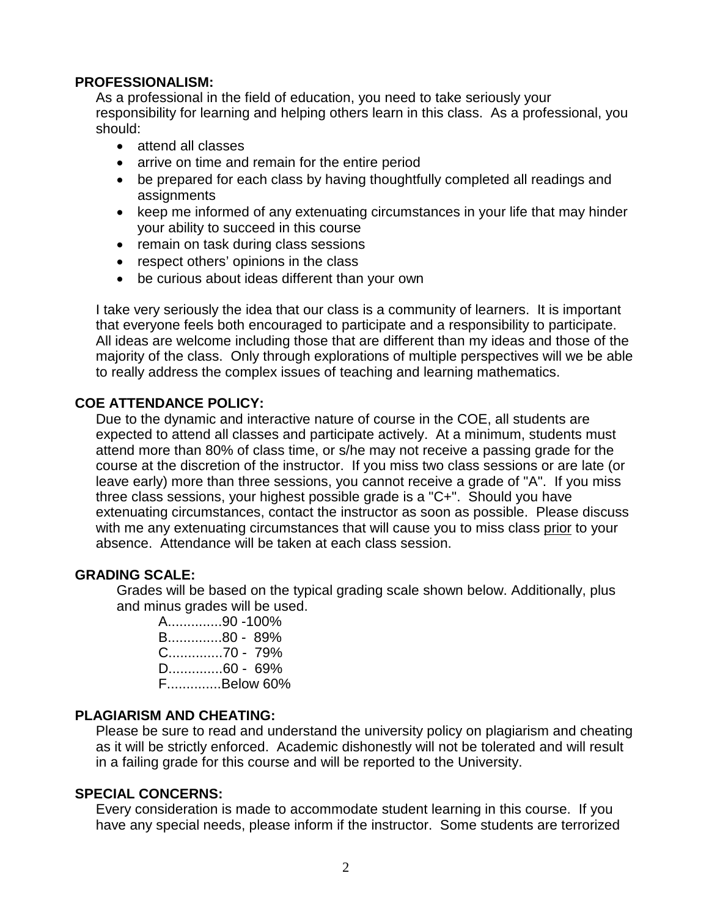## **PROFESSIONALISM:**

As a professional in the field of education, you need to take seriously your responsibility for learning and helping others learn in this class. As a professional, you should:

- attend all classes
- arrive on time and remain for the entire period
- be prepared for each class by having thoughtfully completed all readings and assignments
- keep me informed of any extenuating circumstances in your life that may hinder your ability to succeed in this course
- remain on task during class sessions
- respect others' opinions in the class
- be curious about ideas different than your own

I take very seriously the idea that our class is a community of learners. It is important that everyone feels both encouraged to participate and a responsibility to participate. All ideas are welcome including those that are different than my ideas and those of the majority of the class. Only through explorations of multiple perspectives will we be able to really address the complex issues of teaching and learning mathematics.

# **COE ATTENDANCE POLICY:**

Due to the dynamic and interactive nature of course in the COE, all students are expected to attend all classes and participate actively. At a minimum, students must attend more than 80% of class time, or s/he may not receive a passing grade for the course at the discretion of the instructor. If you miss two class sessions or are late (or leave early) more than three sessions, you cannot receive a grade of "A". If you miss three class sessions, your highest possible grade is a "C+". Should you have extenuating circumstances, contact the instructor as soon as possible. Please discuss with me any extenuating circumstances that will cause you to miss class prior to your absence. Attendance will be taken at each class session.

# **GRADING SCALE:**

Grades will be based on the typical grading scale shown below. Additionally, plus and minus grades will be used.

A..............90 -100% B..............80 - 89% C..............70 - 79% D..............60 - 69% F..............Below 60%

# **PLAGIARISM AND CHEATING:**

Please be sure to read and understand the university policy on plagiarism and cheating as it will be strictly enforced. Academic dishonestly will not be tolerated and will result in a failing grade for this course and will be reported to the University.

# **SPECIAL CONCERNS:**

Every consideration is made to accommodate student learning in this course. If you have any special needs, please inform if the instructor. Some students are terrorized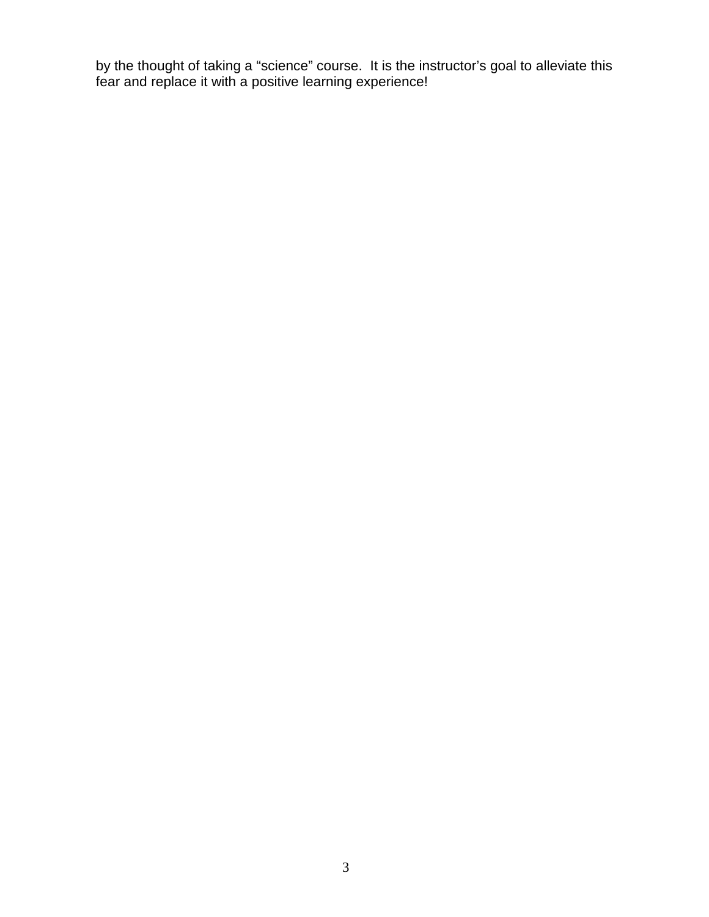by the thought of taking a "science" course. It is the instructor's goal to alleviate this fear and replace it with a positive learning experience!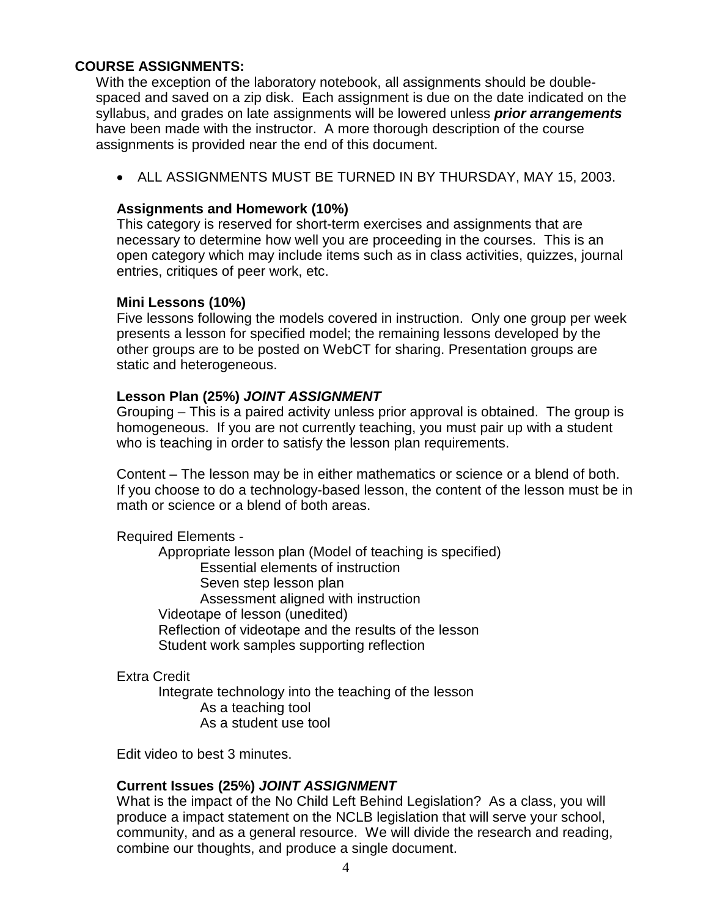# **COURSE ASSIGNMENTS:**

With the exception of the laboratory notebook, all assignments should be doublespaced and saved on a zip disk. Each assignment is due on the date indicated on the syllabus, and grades on late assignments will be lowered unless *prior arrangements* have been made with the instructor. A more thorough description of the course assignments is provided near the end of this document.

• ALL ASSIGNMENTS MUST BE TURNED IN BY THURSDAY, MAY 15, 2003.

#### **Assignments and Homework (10%)**

This category is reserved for short-term exercises and assignments that are necessary to determine how well you are proceeding in the courses. This is an open category which may include items such as in class activities, quizzes, journal entries, critiques of peer work, etc.

#### **Mini Lessons (10%)**

Five lessons following the models covered in instruction. Only one group per week presents a lesson for specified model; the remaining lessons developed by the other groups are to be posted on WebCT for sharing. Presentation groups are static and heterogeneous.

## **Lesson Plan (25%)** *JOINT ASSIGNMENT*

Grouping – This is a paired activity unless prior approval is obtained. The group is homogeneous. If you are not currently teaching, you must pair up with a student who is teaching in order to satisfy the lesson plan requirements.

Content – The lesson may be in either mathematics or science or a blend of both. If you choose to do a technology-based lesson, the content of the lesson must be in math or science or a blend of both areas.

#### Required Elements -

Appropriate lesson plan (Model of teaching is specified) Essential elements of instruction Seven step lesson plan Assessment aligned with instruction Videotape of lesson (unedited) Reflection of videotape and the results of the lesson Student work samples supporting reflection

#### Extra Credit

Integrate technology into the teaching of the lesson As a teaching tool As a student use tool

Edit video to best 3 minutes.

# **Current Issues (25%)** *JOINT ASSIGNMENT*

What is the impact of the No Child Left Behind Legislation? As a class, you will produce a impact statement on the NCLB legislation that will serve your school, community, and as a general resource. We will divide the research and reading, combine our thoughts, and produce a single document.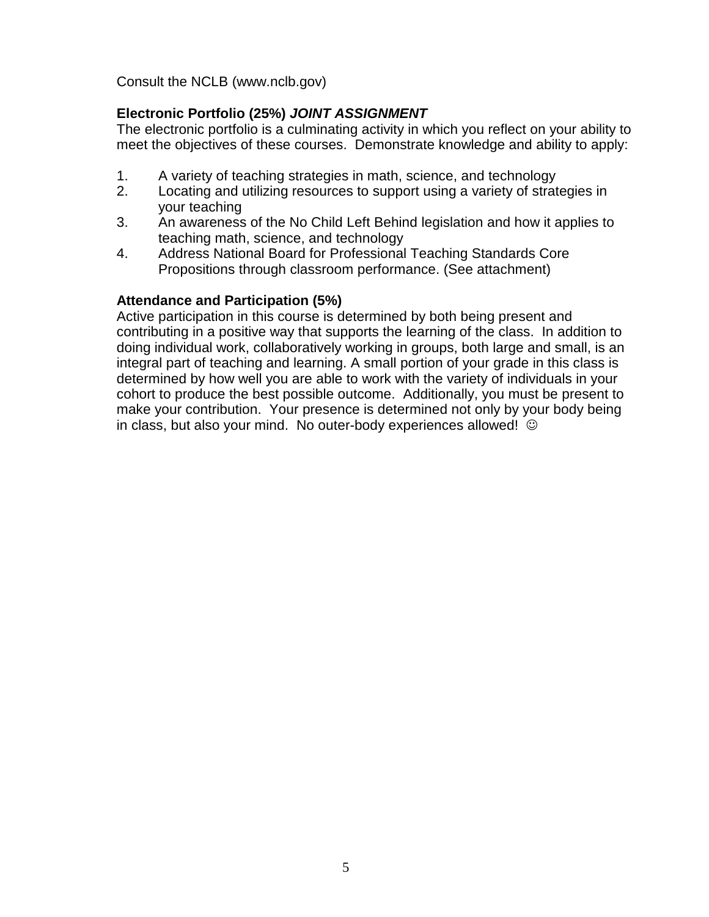Consult the NCLB (www.nclb.gov)

# **Electronic Portfolio (25%)** *JOINT ASSIGNMENT*

The electronic portfolio is a culminating activity in which you reflect on your ability to meet the objectives of these courses. Demonstrate knowledge and ability to apply:

- 1. A variety of teaching strategies in math, science, and technology
- 2. Locating and utilizing resources to support using a variety of strategies in your teaching
- 3. An awareness of the No Child Left Behind legislation and how it applies to teaching math, science, and technology
- 4. Address National Board for Professional Teaching Standards Core Propositions through classroom performance. (See attachment)

# **Attendance and Participation (5%)**

Active participation in this course is determined by both being present and contributing in a positive way that supports the learning of the class. In addition to doing individual work, collaboratively working in groups, both large and small, is an integral part of teaching and learning. A small portion of your grade in this class is determined by how well you are able to work with the variety of individuals in your cohort to produce the best possible outcome. Additionally, you must be present to make your contribution. Your presence is determined not only by your body being in class, but also your mind. No outer-body experiences allowed!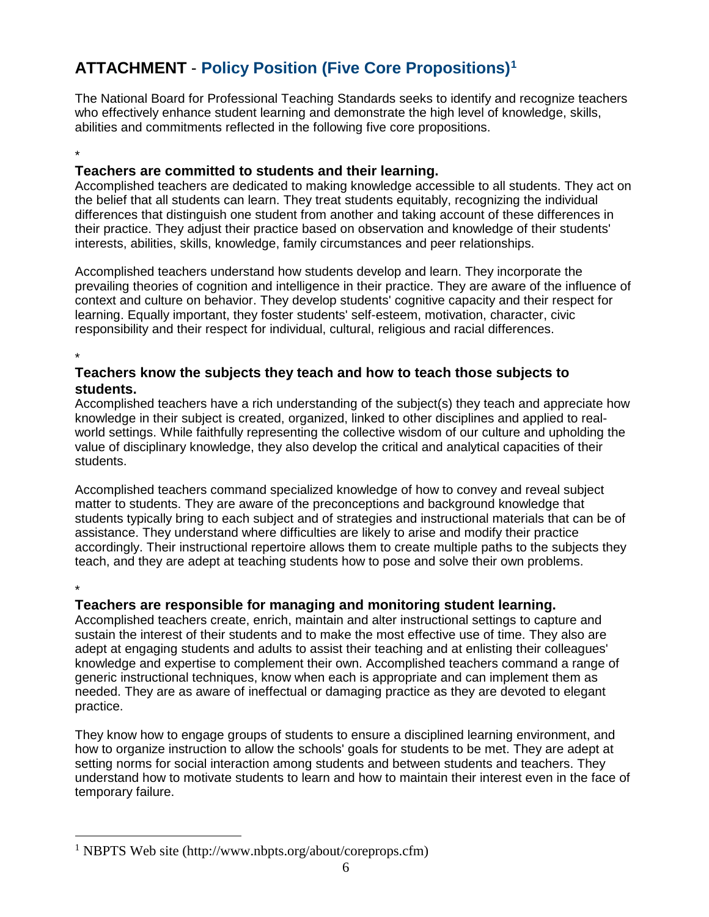# **ATTACHMENT** - **Policy Position (Five Core Propositions)[1](#page-5-0)**

The National Board for Professional Teaching Standards seeks to identify and recognize teachers who effectively enhance student learning and demonstrate the high level of knowledge, skills, abilities and commitments reflected in the following five core propositions.

\*

# **Teachers are committed to students and their learning.**

Accomplished teachers are dedicated to making knowledge accessible to all students. They act on the belief that all students can learn. They treat students equitably, recognizing the individual differences that distinguish one student from another and taking account of these differences in their practice. They adjust their practice based on observation and knowledge of their students' interests, abilities, skills, knowledge, family circumstances and peer relationships.

Accomplished teachers understand how students develop and learn. They incorporate the prevailing theories of cognition and intelligence in their practice. They are aware of the influence of context and culture on behavior. They develop students' cognitive capacity and their respect for learning. Equally important, they foster students' self-esteem, motivation, character, civic responsibility and their respect for individual, cultural, religious and racial differences.

\*

# **Teachers know the subjects they teach and how to teach those subjects to students.**

Accomplished teachers have a rich understanding of the subject(s) they teach and appreciate how knowledge in their subject is created, organized, linked to other disciplines and applied to realworld settings. While faithfully representing the collective wisdom of our culture and upholding the value of disciplinary knowledge, they also develop the critical and analytical capacities of their students.

Accomplished teachers command specialized knowledge of how to convey and reveal subject matter to students. They are aware of the preconceptions and background knowledge that students typically bring to each subject and of strategies and instructional materials that can be of assistance. They understand where difficulties are likely to arise and modify their practice accordingly. Their instructional repertoire allows them to create multiple paths to the subjects they teach, and they are adept at teaching students how to pose and solve their own problems.

\*

# **Teachers are responsible for managing and monitoring student learning.**

Accomplished teachers create, enrich, maintain and alter instructional settings to capture and sustain the interest of their students and to make the most effective use of time. They also are adept at engaging students and adults to assist their teaching and at enlisting their colleagues' knowledge and expertise to complement their own. Accomplished teachers command a range of generic instructional techniques, know when each is appropriate and can implement them as needed. They are as aware of ineffectual or damaging practice as they are devoted to elegant practice.

They know how to engage groups of students to ensure a disciplined learning environment, and how to organize instruction to allow the schools' goals for students to be met. They are adept at setting norms for social interaction among students and between students and teachers. They understand how to motivate students to learn and how to maintain their interest even in the face of temporary failure.

<span id="page-5-0"></span> <sup>1</sup> NBPTS Web site (http://www.nbpts.org/about/coreprops.cfm)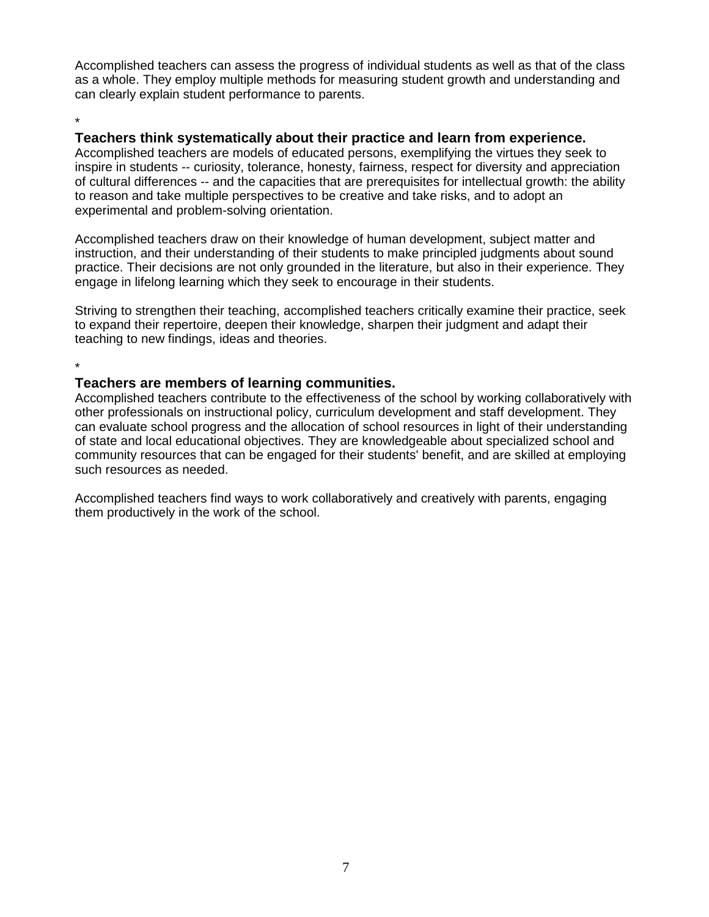Accomplished teachers can assess the progress of individual students as well as that of the class as a whole. They employ multiple methods for measuring student growth and understanding and can clearly explain student performance to parents.

\*

#### **Teachers think systematically about their practice and learn from experience.**

Accomplished teachers are models of educated persons, exemplifying the virtues they seek to inspire in students -- curiosity, tolerance, honesty, fairness, respect for diversity and appreciation of cultural differences -- and the capacities that are prerequisites for intellectual growth: the ability to reason and take multiple perspectives to be creative and take risks, and to adopt an experimental and problem-solving orientation.

Accomplished teachers draw on their knowledge of human development, subject matter and instruction, and their understanding of their students to make principled judgments about sound practice. Their decisions are not only grounded in the literature, but also in their experience. They engage in lifelong learning which they seek to encourage in their students.

Striving to strengthen their teaching, accomplished teachers critically examine their practice, seek to expand their repertoire, deepen their knowledge, sharpen their judgment and adapt their teaching to new findings, ideas and theories.

\*

# **Teachers are members of learning communities.**

Accomplished teachers contribute to the effectiveness of the school by working collaboratively with other professionals on instructional policy, curriculum development and staff development. They can evaluate school progress and the allocation of school resources in light of their understanding of state and local educational objectives. They are knowledgeable about specialized school and community resources that can be engaged for their students' benefit, and are skilled at employing such resources as needed.

Accomplished teachers find ways to work collaboratively and creatively with parents, engaging them productively in the work of the school.